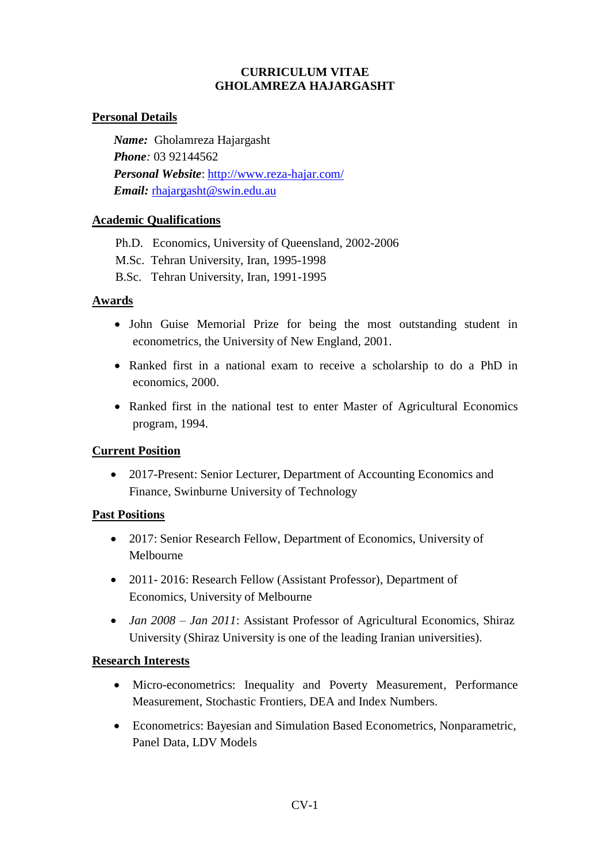#### **CURRICULUM VITAE GHOLAMREZA HAJARGASHT**

### **Personal Details**

*Name:* Gholamreza Hajargasht *Phone:* 03 92144562 *Personal Website*:<http://www.reza-hajar.com/> Email: [rhajargasht@swin.edu.au](mailto:rhajargasht@swin.edu.au)

### **Academic Qualifications**

Ph.D. Economics, University of Queensland, 2002-2006 M.Sc. Tehran University, Iran, 1995-1998 B.Sc. Tehran University, Iran, 1991-1995

### **Awards**

- John Guise Memorial Prize for being the most outstanding student in econometrics, the University of New England, 2001.
- Ranked first in a national exam to receive a scholarship to do a PhD in economics, 2000.
- Ranked first in the national test to enter Master of Agricultural Economics program, 1994.

### **Current Position**

• 2017-Present: Senior Lecturer, Department of Accounting Economics and Finance, Swinburne University of Technology

### **Past Positions**

- 2017: Senior Research Fellow, Department of Economics, University of Melbourne
- 2011-2016: Research Fellow (Assistant Professor), Department of Economics, University of Melbourne
- *Jan 2008 Jan 2011*: Assistant Professor of Agricultural Economics, Shiraz University (Shiraz University is one of the leading Iranian universities).

#### **Research Interests**

- Micro-econometrics: Inequality and Poverty Measurement, Performance Measurement, Stochastic Frontiers, DEA and Index Numbers.
- Econometrics: Bayesian and Simulation Based Econometrics, Nonparametric, Panel Data, LDV Models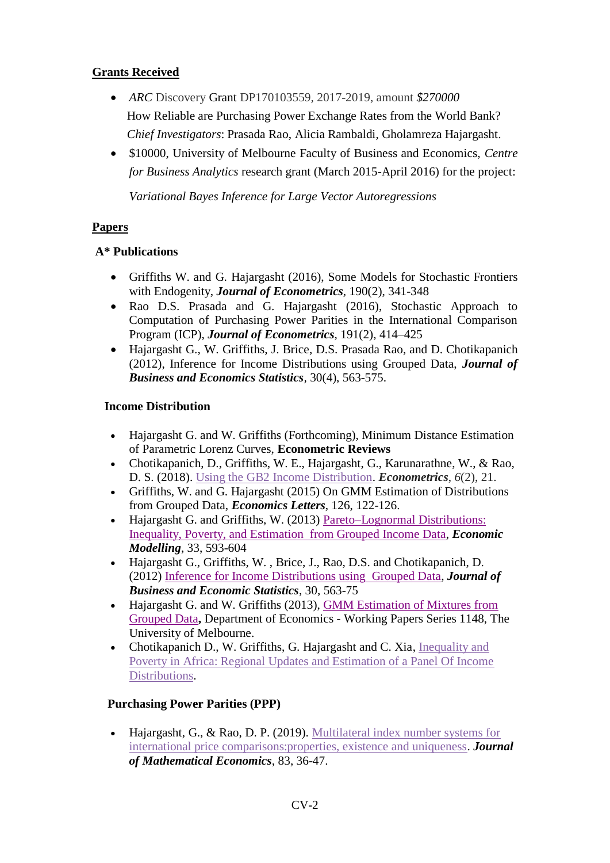## **Grants Received**

- *ARC* Discovery Grant DP170103559*,* 2017-2019, amount *\$270000* How Reliable are Purchasing Power Exchange Rates from the World Bank? *Chief Investigators*: Prasada Rao, Alicia Rambaldi, Gholamreza Hajargasht.
- \$10000, University of Melbourne Faculty of Business and Economics, *Centre for Business Analytics* research grant (March 2015-April 2016) for the project:

*Variational Bayes Inference for Large Vector Autoregressions*

## **Papers**

# **A\* Publications**

- Griffiths W. and G. Hajargasht (2016), Some Models for Stochastic Frontiers with Endogenity, *Journal of Econometrics,* 190(2), 341-348
- Rao D.S. Prasada and G. Hajargasht (2016), Stochastic Approach to Computation of Purchasing Power Parities in the International Comparison Program (ICP), *Journal of Econometrics*, 191(2), 414–425
- Hajargasht G., W. Griffiths, J. Brice, D.S. Prasada Rao, and D. Chotikapanich (2012), Inference for Income Distributions using Grouped Data, *Journal of Business and Economics Statistics,* 30(4), 563-575.

## **Income Distribution**

- Hajargasht G. and W. Griffiths (Forthcoming), Minimum Distance Estimation of Parametric Lorenz Curves, **Econometric Reviews**
- Chotikapanich, D., Griffiths, W. E., Hajargasht, G., Karunarathne, W., & Rao, D. S. (2018). [Using the GB2 Income Distribution.](http://www.mdpi.com/2225-1146/6/2/21) *Econometrics*, *6*(2), 21.
- Griffiths, W. and G. Hajargasht (2015) On GMM Estimation of Distributions from Grouped Data, *Economics Letters*, 126, 122-126.
- Hajargasht G. and Griffiths, W. (2013) Pareto–Lognormal Distributions: [Inequality, Poverty, and Estimation from Grouped Income Data,](http://www.sciencedirect.com/science/article/pii/S0264999313001880) *Economic Modelling*, 33, 593-604
- Hajargasht G., Griffiths, W. , Brice, J., Rao, D.S. and Chotikapanich, D. (2012) [Inference for Income Distributions using Grouped Data,](http://ideas.repec.org/a/taf/jnlbes/v30y2012i4p563-575.html) *Journal of Business and Economic Statistics*, 30, 563-75
- Hajargasht G. and W. Griffiths (2013), [GMM Estimation of Mixtures from](http://ideas.repec.org/p/mlb/wpaper/1148.html)  [Grouped Data](http://ideas.repec.org/p/mlb/wpaper/1148.html)**,** Department of Economics - Working Papers Series 1148, The University of Melbourne.
- Chotikapanich D., W. Griffiths, G. Hajargasht and C. Xia, Inequality and [Poverty in Africa: Regional Updates and Estimation of a Panel Of Income](http://www.iariw.org/papers/2014/ChotikapanichPaper.pdf)  [Distributions.](http://www.iariw.org/papers/2014/ChotikapanichPaper.pdf)

# **Purchasing Power Parities (PPP)**

• Hajargasht, G., & Rao, D. P. (2019). Multilateral index number systems for [international price comparisons:properties, existence and uniqueness.](https://www.sciencedirect.com/science/article/abs/pii/S0304406819300230) *Journal of Mathematical Economics*, 83, 36-47.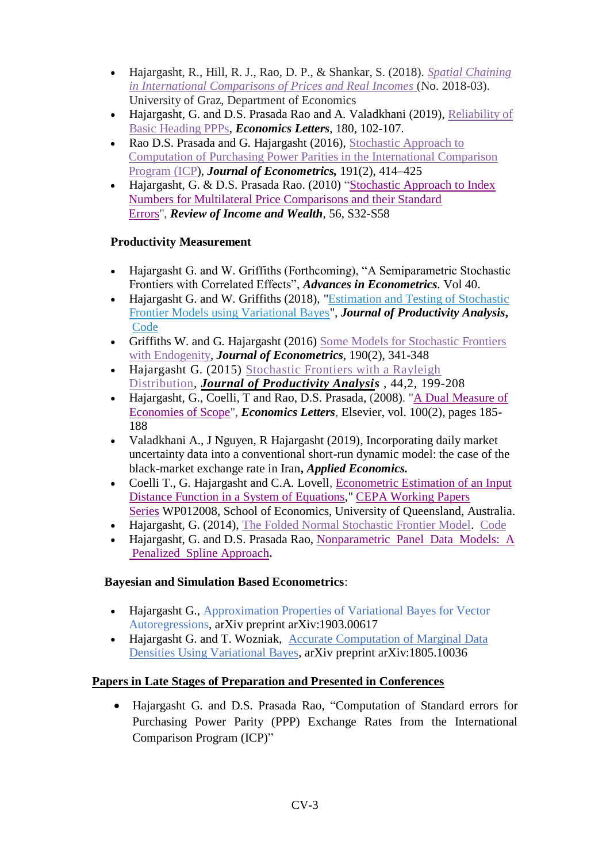- Hajargasht, R., Hill, R. J., Rao, D. P., & Shankar, S. (2018). *[Spatial Chaining](https://sites.google.com/site/rezahajargasht/goog_2076754180)  [in International Comparisons of Prices and Real Incomes](https://sites.google.com/site/rezahajargasht/goog_2076754180)* (No. 2018-03). University of Graz, Department of Economics
- Hajargasht, G. and D.S. Prasada Rao and A. Valadkhani (2019), [Reliability of](https://www.sciencedirect.com/science/article/pii/S0165176519300680)  [Basic Heading PPPs,](https://www.sciencedirect.com/science/article/pii/S0165176519300680) *Economics Letters*, 180, 102-107.
- Rao D.S. Prasada and G. Hajargasht (2016), Stochastic Approach to [Computation of Purchasing Power Parities in the International Comparison](http://www.sciencedirect.com/science/article/pii/S0304407615002882)  [Program \(ICP\)](http://www.sciencedirect.com/science/article/pii/S0304407615002882), *Journal of Econometrics,* 191(2), 414–425
- Hajargasht, G. & D.S. Prasada Rao. (2010) "Stochastic Approach to Index [Numbers for Multilateral Price Comparisons and their Standard](http://ideas.repec.org/p/qld/uqcepa/34.html)  [Errors"](http://ideas.repec.org/p/qld/uqcepa/34.html), *Review of Income and Wealth*, 56, S32-S58

## **Productivity Measurement**

- Hajargasht G. and W. Griffiths (Forthcoming), "A Semiparametric Stochastic Frontiers with Correlated Effects", *Advances in Econometrics.* Vol 40.
- Hajargasht G. and W. Griffiths (2018), ["Estimation and Testing of Stochastic](https://sites.google.com/site/rezahajargasht/VB-SFA.pdf?attredirects=0&d=1)  [Frontier Models using Variational Bayes"](https://sites.google.com/site/rezahajargasht/VB-SFA.pdf?attredirects=0&d=1), *Journal of Productivity Analysis***, [Code](https://sites.google.com/site/rezahajargasht/VB_SFA.zip?attredirects=0&d=1)**
- Griffiths W. and G. Hajargasht (2016) [Some Models for Stochastic Frontiers](http://www.sciencedirect.com/science/article/pii/S0304407615001815)  [with Endogenity,](http://www.sciencedirect.com/science/article/pii/S0304407615001815) *Journal of Econometrics,* 190(2), 341-348
- Hajargasht G. (2015) [Stochastic Frontiers with a Rayleigh](http://link.springer.com/article/10.1007/s11123-014-0417-8)  [Distribution,](http://link.springer.com/article/10.1007/s11123-014-0417-8) *[Journal of Productivity Analysis](http://link.springer.com/article/10.1007/s11123-014-0417-8)* , 44,2, 199-208
- Hajargasht, G., Coelli, T and Rao, D.S. Prasada, (2008). ["A Dual Measure of](http://ideas.repec.org/a/eee/ecolet/v100y2008i2p185-188.html)  [Economies of Scope"](http://ideas.repec.org/a/eee/ecolet/v100y2008i2p185-188.html), *Economics Letters*, Elsevier, vol. 100(2), pages 185- 188
- Valadkhani A., J Nguyen, R Hajargasht (2019), Incorporating daily market uncertainty data into a conventional short-run dynamic model: the case of the black-market exchange rate in Iran**,** *Applied Economics.*
- Coelli T., G. Hajargasht and C.A. Lovell, Econometric Estimation of an Input [Distance Function in a System of Equations,](http://ideas.repec.org/p/qld/uqcepa/29.html)" [CEPA Working Papers](http://ideas.repec.org/s/qld/uqcepa.html)  [Series](http://ideas.repec.org/s/qld/uqcepa.html) WP012008, School of Economics, University of Queensland, Australia.
- Hajargasht, G. (2014), [The Folded Normal Stochastic Frontier Model.](https://sites.google.com/site/rezahajargasht/FoldedNormal.pdf?attredirects=0&d=1) [Code](https://sites.google.com/site/rezahajargasht/FrontFN.zip?attredirects=0&d=1)
- Hajargasht, G. and D.S. Prasada Rao, [Nonparametric](https://sites.google.com/site/ghgasht/NonpPanelSpline.pdf?attredirects=0) Panel Data Models: A Penalized Spline [Approach](https://sites.google.com/site/ghgasht/NonpPanelSpline.pdf?attredirects=0)**.**

## **Bayesian and Simulation Based Econometrics**:

- Hajargasht G., Approximation Properties of Variational Bayes for Vector Autoregressions, arXiv preprint arXiv:1903.00617
- Hajargasht G. and T. Wozniak, Accurate Computation of Marginal Data [Densities Using Variational Bayes,](https://arxiv.org/abs/1805.10036) arXiv preprint arXiv:1805.10036

# **Papers in Late Stages of Preparation and Presented in Conferences**

• Hajargasht G. and D.S. Prasada Rao, "Computation of Standard errors for Purchasing Power Parity (PPP) Exchange Rates from the International Comparison Program (ICP)"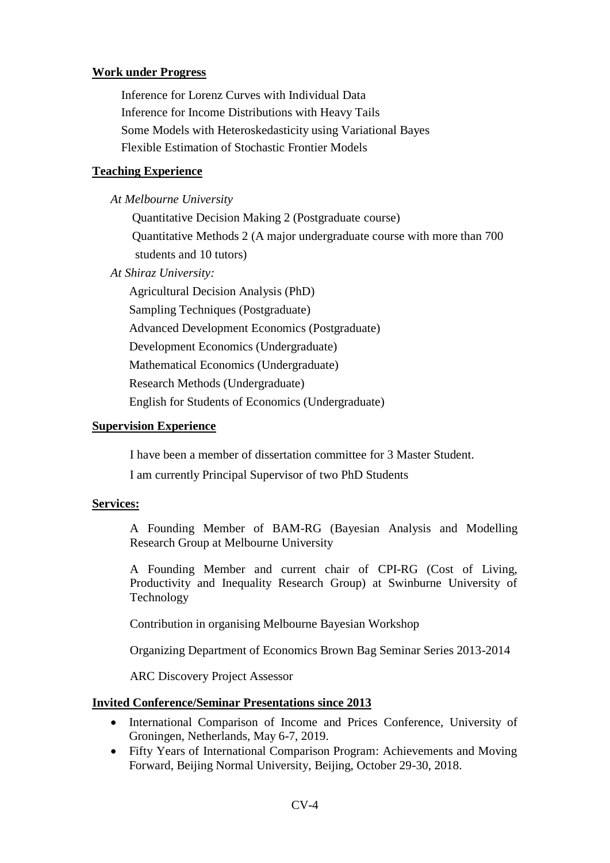### **Work under Progress**

Inference for Lorenz Curves with Individual Data Inference for Income Distributions with Heavy Tails Some Models with Heteroskedasticity using Variational Bayes Flexible Estimation of Stochastic Frontier Models

### **Teaching Experience**

 *At Melbourne University* 

 Quantitative Decision Making 2 (Postgraduate course) Quantitative Methods 2 (A major undergraduate course with more than 700 students and 10 tutors)

 *At Shiraz University:*

Agricultural Decision Analysis (PhD) Sampling Techniques (Postgraduate) Advanced Development Economics (Postgraduate) Development Economics (Undergraduate) Mathematical Economics (Undergraduate) Research Methods (Undergraduate) English for Students of Economics (Undergraduate)

#### **Supervision Experience**

I have been a member of dissertation committee for 3 Master Student.

I am currently Principal Supervisor of two PhD Students

#### **Services:**

A Founding Member of BAM-RG (Bayesian Analysis and Modelling Research Group at Melbourne University

A Founding Member and current chair of CPI-RG (Cost of Living, Productivity and Inequality Research Group) at Swinburne University of Technology

Contribution in organising Melbourne Bayesian Workshop

Organizing Department of Economics Brown Bag Seminar Series 2013-2014

ARC Discovery Project Assessor

#### **Invited Conference/Seminar Presentations since 2013**

- International Comparison of Income and Prices Conference, University of Groningen, Netherlands, May 6-7, 2019.
- Fifty Years of International Comparison Program: Achievements and Moving Forward, Beijing Normal University, Beijing, October 29-30, 2018.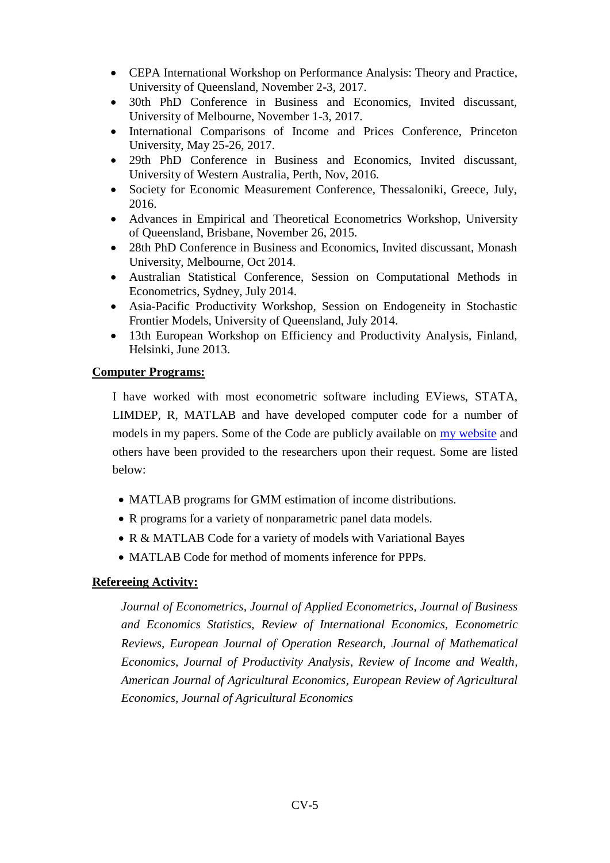- CEPA International Workshop on Performance Analysis: Theory and Practice, University of Queensland, November 2-3, 2017.
- 30th PhD Conference in Business and Economics, Invited discussant, University of Melbourne, November 1-3, 2017.
- International Comparisons of Income and Prices Conference, Princeton University, May 25-26, 2017.
- 29th PhD Conference in Business and Economics, Invited discussant, University of Western Australia, Perth, Nov, 2016.
- Society for Economic Measurement Conference, Thessaloniki, Greece, July, 2016.
- [Advances in Empirical and Theoretical Econometrics](https://uq.edu.au/economics/AETE_2015/) Workshop, University of Queensland, Brisbane, November 26, 2015.
- 28th PhD Conference in Business and Economics, Invited discussant, Monash University, Melbourne, Oct 2014.
- Australian Statistical Conference, Session on Computational Methods in Econometrics, Sydney, July 2014.
- Asia-Pacific Productivity Workshop, Session on Endogeneity in Stochastic Frontier Models, University of Queensland, July 2014.
- 13th European Workshop on Efficiency and Productivity Analysis, Finland, Helsinki, June 2013.

### **Computer Programs:**

I have worked with most econometric software including EViews, STATA, LIMDEP, R, MATLAB and have developed computer code for a number of models in my papers. Some of the Code are publicly available on my [website](http://www.reza-hajar.com/software) and others have been provided to the researchers upon their request. Some are listed below:

- MATLAB programs for GMM estimation of income distributions.
- R programs for a variety of nonparametric panel data models.
- R & MATLAB Code for a variety of models with Variational Bayes
- MATLAB Code for method of moments inference for PPPs.

### **Refereeing Activity:**

*Journal of Econometrics, Journal of Applied Econometrics, Journal of Business and Economics Statistics, Review of International Economics, Econometric Reviews, European Journal of Operation Research, Journal of Mathematical Economics, Journal of Productivity Analysis, Review of Income and Wealth, American Journal of Agricultural Economics, European Review of Agricultural Economics, Journal of Agricultural Economics*